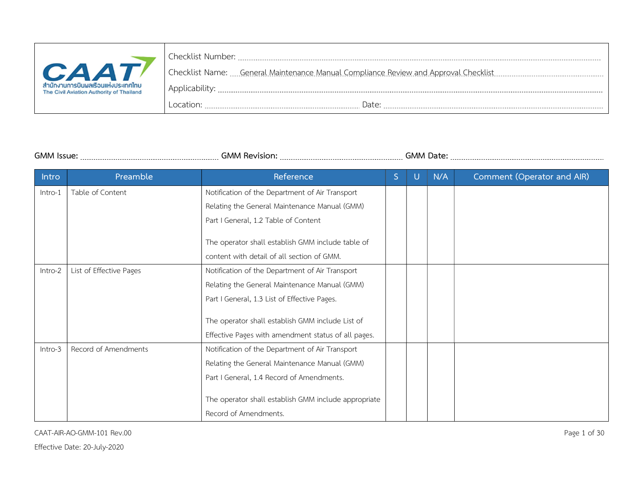|                                                                                | Checklist Number: |
|--------------------------------------------------------------------------------|-------------------|
| <b>CAAT</b>                                                                    |                   |
| สำนักงานการบินผลเรือนแห่งประเทศไทย<br>The Civil Aviation Authority of Thailand |                   |
|                                                                                | Date:<br>ocation: |

GMM Issue: GMM Revision: GMM Date:

| Intro   | Preamble                | Reference                                            | S | U | N/A | Comment (Operator and AIR) |
|---------|-------------------------|------------------------------------------------------|---|---|-----|----------------------------|
| Intro-1 | Table of Content        | Notification of the Department of Air Transport      |   |   |     |                            |
|         |                         | Relating the General Maintenance Manual (GMM)        |   |   |     |                            |
|         |                         | Part I General, 1.2 Table of Content                 |   |   |     |                            |
|         |                         | The operator shall establish GMM include table of    |   |   |     |                            |
|         |                         | content with detail of all section of GMM.           |   |   |     |                            |
| Intro-2 | List of Effective Pages | Notification of the Department of Air Transport      |   |   |     |                            |
|         |                         | Relating the General Maintenance Manual (GMM)        |   |   |     |                            |
|         |                         | Part I General, 1.3 List of Effective Pages.         |   |   |     |                            |
|         |                         | The operator shall establish GMM include List of     |   |   |     |                            |
|         |                         | Effective Pages with amendment status of all pages.  |   |   |     |                            |
| Intro-3 | Record of Amendments    | Notification of the Department of Air Transport      |   |   |     |                            |
|         |                         | Relating the General Maintenance Manual (GMM)        |   |   |     |                            |
|         |                         | Part I General, 1.4 Record of Amendments.            |   |   |     |                            |
|         |                         | The operator shall establish GMM include appropriate |   |   |     |                            |
|         |                         | Record of Amendments.                                |   |   |     |                            |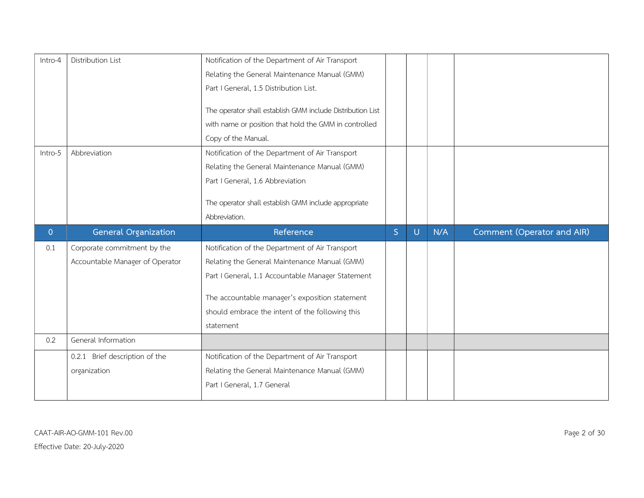| Intro-4        | Distribution List               | Notification of the Department of Air Transport            |   |   |     |                            |
|----------------|---------------------------------|------------------------------------------------------------|---|---|-----|----------------------------|
|                |                                 | Relating the General Maintenance Manual (GMM)              |   |   |     |                            |
|                |                                 | Part I General, 1.5 Distribution List.                     |   |   |     |                            |
|                |                                 |                                                            |   |   |     |                            |
|                |                                 | The operator shall establish GMM include Distribution List |   |   |     |                            |
|                |                                 | with name or position that hold the GMM in controlled      |   |   |     |                            |
|                |                                 | Copy of the Manual.                                        |   |   |     |                            |
| Intro-5        | Abbreviation                    | Notification of the Department of Air Transport            |   |   |     |                            |
|                |                                 | Relating the General Maintenance Manual (GMM)              |   |   |     |                            |
|                |                                 | Part I General, 1.6 Abbreviation                           |   |   |     |                            |
|                |                                 |                                                            |   |   |     |                            |
|                |                                 | The operator shall establish GMM include appropriate       |   |   |     |                            |
|                |                                 | Abbreviation.                                              |   |   |     |                            |
|                |                                 |                                                            |   |   |     |                            |
| $\overline{0}$ | <b>General Organization</b>     | Reference                                                  | S | U | N/A | Comment (Operator and AIR) |
| 0.1            | Corporate commitment by the     | Notification of the Department of Air Transport            |   |   |     |                            |
|                | Accountable Manager of Operator | Relating the General Maintenance Manual (GMM)              |   |   |     |                            |
|                |                                 | Part I General, 1.1 Accountable Manager Statement          |   |   |     |                            |
|                |                                 |                                                            |   |   |     |                            |
|                |                                 | The accountable manager's exposition statement             |   |   |     |                            |
|                |                                 | should embrace the intent of the following this            |   |   |     |                            |
|                |                                 | statement                                                  |   |   |     |                            |
| 0.2            | General Information             |                                                            |   |   |     |                            |
|                | 0.2.1 Brief description of the  | Notification of the Department of Air Transport            |   |   |     |                            |
|                | organization                    | Relating the General Maintenance Manual (GMM)              |   |   |     |                            |
|                |                                 | Part I General, 1.7 General                                |   |   |     |                            |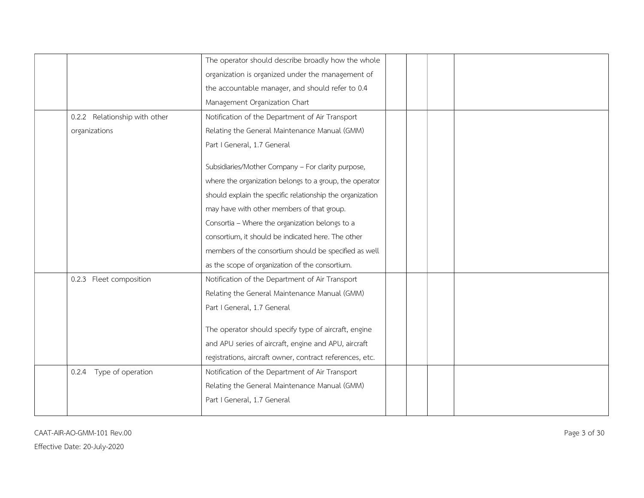|                               | The operator should describe broadly how the whole        |
|-------------------------------|-----------------------------------------------------------|
|                               | organization is organized under the management of         |
|                               | the accountable manager, and should refer to 0.4          |
|                               | Management Organization Chart                             |
| 0.2.2 Relationship with other | Notification of the Department of Air Transport           |
| organizations                 | Relating the General Maintenance Manual (GMM)             |
|                               | Part I General, 1.7 General                               |
|                               | Subsidiaries/Mother Company - For clarity purpose,        |
|                               | where the organization belongs to a group, the operator   |
|                               | should explain the specific relationship the organization |
|                               | may have with other members of that group.                |
|                               | Consortia - Where the organization belongs to a           |
|                               | consortium, it should be indicated here. The other        |
|                               | members of the consortium should be specified as well     |
|                               | as the scope of organization of the consortium.           |
| 0.2.3 Fleet composition       | Notification of the Department of Air Transport           |
|                               | Relating the General Maintenance Manual (GMM)             |
|                               | Part I General, 1.7 General                               |
|                               | The operator should specify type of aircraft, engine      |
|                               | and APU series of aircraft, engine and APU, aircraft      |
|                               | registrations, aircraft owner, contract references, etc.  |
| Type of operation<br>0.2.4    | Notification of the Department of Air Transport           |
|                               | Relating the General Maintenance Manual (GMM)             |
|                               | Part I General, 1.7 General                               |
|                               |                                                           |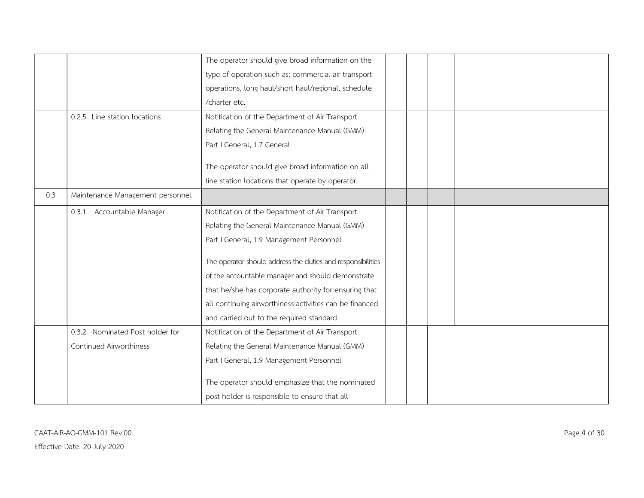|     |                                  | The operator should give broad information on the           |  |  |
|-----|----------------------------------|-------------------------------------------------------------|--|--|
|     |                                  | type of operation such as: commercial air transport         |  |  |
|     |                                  | operations, long haul/short haul/regional, schedule         |  |  |
|     |                                  | /charter etc.                                               |  |  |
|     | 0.2.5 Line station locations     | Notification of the Department of Air Transport             |  |  |
|     |                                  | Relating the General Maintenance Manual (GMM)               |  |  |
|     |                                  | Part I General, 1.7 General                                 |  |  |
|     |                                  | The operator should give broad information on all           |  |  |
|     |                                  | line station locations that operate by operator.            |  |  |
| 0.3 | Maintenance Management personnel |                                                             |  |  |
|     | 0.3.1 Accountable Manager        | Notification of the Department of Air Transport             |  |  |
|     |                                  | Relating the General Maintenance Manual (GMM)               |  |  |
|     |                                  | Part I General, 1.9 Management Personnel                    |  |  |
|     |                                  | The operator should address the duties and responsibilities |  |  |
|     |                                  | of the accountable manager and should demonstrate           |  |  |
|     |                                  | that he/she has corporate authority for ensuring that       |  |  |
|     |                                  | all continuing airworthiness activities can be financed     |  |  |
|     |                                  |                                                             |  |  |
|     |                                  | and carried out to the required standard.                   |  |  |
|     | 0.3.2 Nominated Post holder for  | Notification of the Department of Air Transport             |  |  |
|     | Continued Airworthiness          | Relating the General Maintenance Manual (GMM)               |  |  |
|     |                                  | Part I General, 1.9 Management Personnel                    |  |  |
|     |                                  | The operator should emphasize that the nominated            |  |  |
|     |                                  | post holder is responsible to ensure that all               |  |  |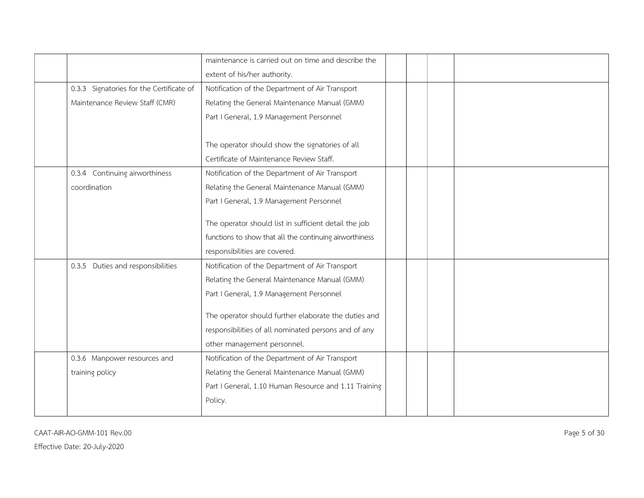|                                          | maintenance is carried out on time and describe the     |  |  |
|------------------------------------------|---------------------------------------------------------|--|--|
|                                          | extent of his/her authority.                            |  |  |
| 0.3.3 Signatories for the Certificate of | Notification of the Department of Air Transport         |  |  |
| Maintenance Review Staff (CMR)           | Relating the General Maintenance Manual (GMM)           |  |  |
|                                          | Part I General, 1.9 Management Personnel                |  |  |
|                                          |                                                         |  |  |
|                                          | The operator should show the signatories of all         |  |  |
|                                          | Certificate of Maintenance Review Staff.                |  |  |
| 0.3.4 Continuing airworthiness           | Notification of the Department of Air Transport         |  |  |
| coordination                             | Relating the General Maintenance Manual (GMM)           |  |  |
|                                          | Part I General, 1.9 Management Personnel                |  |  |
|                                          |                                                         |  |  |
|                                          | The operator should list in sufficient detail the job   |  |  |
|                                          | functions to show that all the continuing airworthiness |  |  |
|                                          | responsibilities are covered.                           |  |  |
| 0.3.5 Duties and responsibilities        | Notification of the Department of Air Transport         |  |  |
|                                          | Relating the General Maintenance Manual (GMM)           |  |  |
|                                          | Part I General, 1.9 Management Personnel                |  |  |
|                                          | The operator should further elaborate the duties and    |  |  |
|                                          |                                                         |  |  |
|                                          | responsibilities of all nominated persons and of any    |  |  |
|                                          | other management personnel.                             |  |  |
| 0.3.6 Manpower resources and             | Notification of the Department of Air Transport         |  |  |
| training policy                          | Relating the General Maintenance Manual (GMM)           |  |  |
|                                          | Part I General, 1.10 Human Resource and 1.11 Training   |  |  |
|                                          | Policy.                                                 |  |  |
|                                          |                                                         |  |  |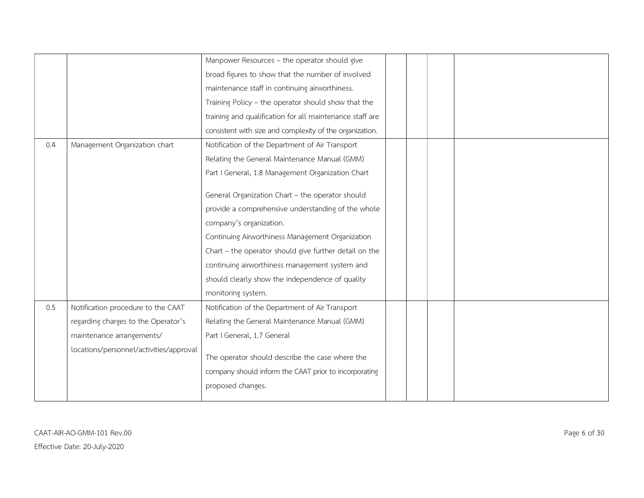|     |                                         | Manpower Resources - the operator should give            |  |  |
|-----|-----------------------------------------|----------------------------------------------------------|--|--|
|     |                                         | broad figures to show that the number of involved        |  |  |
|     |                                         | maintenance staff in continuing airworthiness.           |  |  |
|     |                                         | Training Policy - the operator should show that the      |  |  |
|     |                                         | training and qualification for all maintenance staff are |  |  |
|     |                                         | consistent with size and complexity of the organization. |  |  |
| 0.4 | Management Organization chart           | Notification of the Department of Air Transport          |  |  |
|     |                                         | Relating the General Maintenance Manual (GMM)            |  |  |
|     |                                         | Part I General, 1.8 Management Organization Chart        |  |  |
|     |                                         |                                                          |  |  |
|     |                                         | General Organization Chart - the operator should         |  |  |
|     |                                         | provide a comprehensive understanding of the whole       |  |  |
|     |                                         | company's organization.                                  |  |  |
|     |                                         | Continuing Airworthiness Management Organization         |  |  |
|     |                                         | Chart - the operator should give further detail on the   |  |  |
|     |                                         | continuing airworthiness management system and           |  |  |
|     |                                         | should clearly show the independence of quality          |  |  |
|     |                                         | monitoring system.                                       |  |  |
| 0.5 | Notification procedure to the CAAT      | Notification of the Department of Air Transport          |  |  |
|     | regarding charges to the Operator's     | Relating the General Maintenance Manual (GMM)            |  |  |
|     | maintenance arrangements/               | Part I General, 1.7 General                              |  |  |
|     | locations/personnel/activities/approval |                                                          |  |  |
|     |                                         | The operator should describe the case where the          |  |  |
|     |                                         | company should inform the CAAT prior to incorporating    |  |  |
|     |                                         | proposed changes.                                        |  |  |
|     |                                         |                                                          |  |  |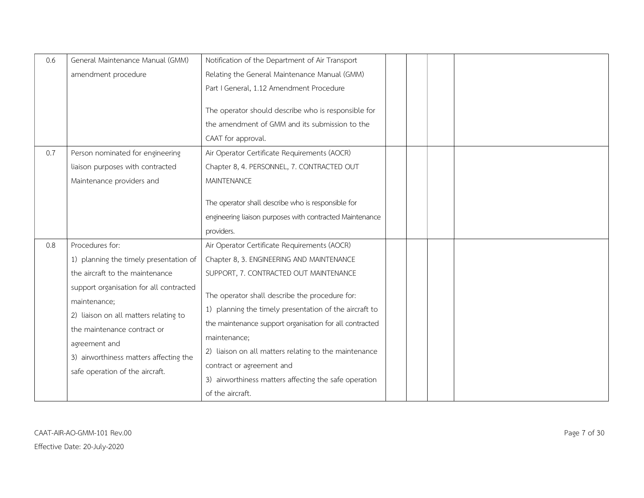| 0.6 | General Maintenance Manual (GMM)                                                                                                                                                                                              | Notification of the Department of Air Transport                                                                                                                                                                                                                                                                                                        |
|-----|-------------------------------------------------------------------------------------------------------------------------------------------------------------------------------------------------------------------------------|--------------------------------------------------------------------------------------------------------------------------------------------------------------------------------------------------------------------------------------------------------------------------------------------------------------------------------------------------------|
|     | amendment procedure                                                                                                                                                                                                           | Relating the General Maintenance Manual (GMM)                                                                                                                                                                                                                                                                                                          |
|     |                                                                                                                                                                                                                               | Part I General, 1.12 Amendment Procedure                                                                                                                                                                                                                                                                                                               |
|     |                                                                                                                                                                                                                               | The operator should describe who is responsible for<br>the amendment of GMM and its submission to the<br>CAAT for approval.                                                                                                                                                                                                                            |
| 0.7 | Person nominated for engineering                                                                                                                                                                                              | Air Operator Certificate Requirements (AOCR)                                                                                                                                                                                                                                                                                                           |
|     | liaison purposes with contracted                                                                                                                                                                                              | Chapter 8, 4. PERSONNEL, 7. CONTRACTED OUT                                                                                                                                                                                                                                                                                                             |
|     | Maintenance providers and                                                                                                                                                                                                     | <b>MAINTENANCE</b>                                                                                                                                                                                                                                                                                                                                     |
|     |                                                                                                                                                                                                                               | The operator shall describe who is responsible for<br>engineering liaison purposes with contracted Maintenance<br>providers.                                                                                                                                                                                                                           |
| 0.8 | Procedures for:                                                                                                                                                                                                               | Air Operator Certificate Requirements (AOCR)                                                                                                                                                                                                                                                                                                           |
|     | 1) planning the timely presentation of                                                                                                                                                                                        | Chapter 8, 3. ENGINEERING AND MAINTENANCE                                                                                                                                                                                                                                                                                                              |
|     | the aircraft to the maintenance                                                                                                                                                                                               | SUPPORT, 7. CONTRACTED OUT MAINTENANCE                                                                                                                                                                                                                                                                                                                 |
|     | support organisation for all contracted<br>maintenance;<br>2) liaison on all matters relating to<br>the maintenance contract or<br>agreement and<br>3) airworthiness matters affecting the<br>safe operation of the aircraft. | The operator shall describe the procedure for:<br>1) planning the timely presentation of the aircraft to<br>the maintenance support organisation for all contracted<br>maintenance:<br>2) liaison on all matters relating to the maintenance<br>contract or agreement and<br>3) airworthiness matters affecting the safe operation<br>of the aircraft. |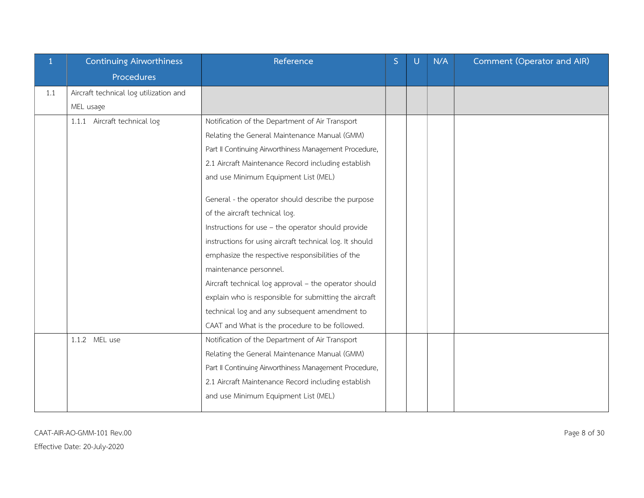| 1   | Continuing Airworthiness               | Reference                                                | S | U | N/A | Comment (Operator and AIR) |
|-----|----------------------------------------|----------------------------------------------------------|---|---|-----|----------------------------|
|     | Procedures                             |                                                          |   |   |     |                            |
| 1.1 | Aircraft technical log utilization and |                                                          |   |   |     |                            |
|     | MEL usage                              |                                                          |   |   |     |                            |
|     | 1.1.1 Aircraft technical log           | Notification of the Department of Air Transport          |   |   |     |                            |
|     |                                        | Relating the General Maintenance Manual (GMM)            |   |   |     |                            |
|     |                                        | Part II Continuing Airworthiness Management Procedure,   |   |   |     |                            |
|     |                                        | 2.1 Aircraft Maintenance Record including establish      |   |   |     |                            |
|     |                                        | and use Minimum Equipment List (MEL)                     |   |   |     |                            |
|     |                                        | General - the operator should describe the purpose       |   |   |     |                            |
|     |                                        | of the aircraft technical log.                           |   |   |     |                            |
|     |                                        | Instructions for use - the operator should provide       |   |   |     |                            |
|     |                                        | instructions for using aircraft technical log. It should |   |   |     |                            |
|     |                                        | emphasize the respective responsibilities of the         |   |   |     |                            |
|     |                                        | maintenance personnel.                                   |   |   |     |                            |
|     |                                        | Aircraft technical log approval - the operator should    |   |   |     |                            |
|     |                                        | explain who is responsible for submitting the aircraft   |   |   |     |                            |
|     |                                        | technical log and any subsequent amendment to            |   |   |     |                            |
|     |                                        | CAAT and What is the procedure to be followed.           |   |   |     |                            |
|     | 1.1.2 MEL use                          | Notification of the Department of Air Transport          |   |   |     |                            |
|     |                                        | Relating the General Maintenance Manual (GMM)            |   |   |     |                            |
|     |                                        | Part II Continuing Airworthiness Management Procedure,   |   |   |     |                            |
|     |                                        | 2.1 Aircraft Maintenance Record including establish      |   |   |     |                            |
|     |                                        | and use Minimum Equipment List (MEL)                     |   |   |     |                            |
|     |                                        |                                                          |   |   |     |                            |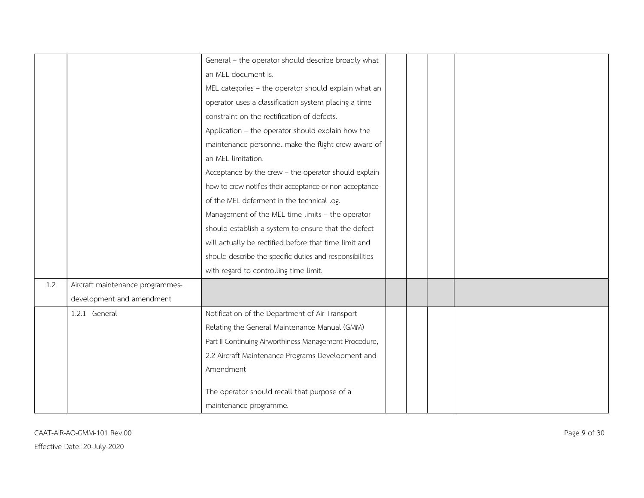|     |                                  | General - the operator should describe broadly what      |
|-----|----------------------------------|----------------------------------------------------------|
|     |                                  | an MEL document is.                                      |
|     |                                  | MEL categories - the operator should explain what an     |
|     |                                  | operator uses a classification system placing a time     |
|     |                                  | constraint on the rectification of defects.              |
|     |                                  | Application - the operator should explain how the        |
|     |                                  | maintenance personnel make the flight crew aware of      |
|     |                                  | an MEL limitation.                                       |
|     |                                  | Acceptance by the crew - the operator should explain     |
|     |                                  | how to crew notifies their acceptance or non-acceptance  |
|     |                                  | of the MEL deferment in the technical log.               |
|     |                                  | Management of the MEL time limits - the operator         |
|     |                                  | should establish a system to ensure that the defect      |
|     |                                  | will actually be rectified before that time limit and    |
|     |                                  | should describe the specific duties and responsibilities |
|     |                                  | with regard to controlling time limit.                   |
| 1.2 | Aircraft maintenance programmes- |                                                          |
|     | development and amendment        |                                                          |
|     | 1.2.1 General                    | Notification of the Department of Air Transport          |
|     |                                  | Relating the General Maintenance Manual (GMM)            |
|     |                                  | Part II Continuing Airworthiness Management Procedure,   |
|     |                                  | 2.2 Aircraft Maintenance Programs Development and        |
|     |                                  | Amendment                                                |
|     |                                  |                                                          |
|     |                                  | The operator should recall that purpose of a             |
|     |                                  | maintenance programme.                                   |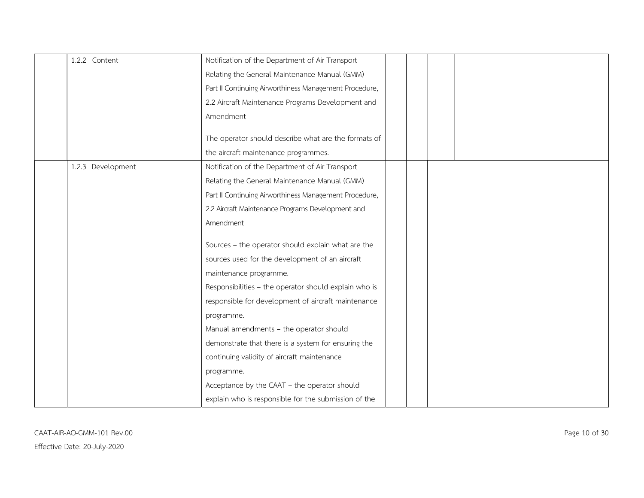| 1.2.2 Content     | Notification of the Department of Air Transport        |
|-------------------|--------------------------------------------------------|
|                   | Relating the General Maintenance Manual (GMM)          |
|                   | Part II Continuing Airworthiness Management Procedure, |
|                   | 2.2 Aircraft Maintenance Programs Development and      |
|                   | Amendment                                              |
|                   | The operator should describe what are the formats of   |
|                   | the aircraft maintenance programmes.                   |
| 1.2.3 Development | Notification of the Department of Air Transport        |
|                   | Relating the General Maintenance Manual (GMM)          |
|                   | Part II Continuing Airworthiness Management Procedure, |
|                   | 2.2 Aircraft Maintenance Programs Development and      |
|                   | Amendment                                              |
|                   | Sources - the operator should explain what are the     |
|                   | sources used for the development of an aircraft        |
|                   | maintenance programme.                                 |
|                   | Responsibilities - the operator should explain who is  |
|                   | responsible for development of aircraft maintenance    |
|                   | programme.                                             |
|                   | Manual amendments - the operator should                |
|                   | demonstrate that there is a system for ensuring the    |
|                   | continuing validity of aircraft maintenance            |
|                   | programme.                                             |
|                   | Acceptance by the CAAT - the operator should           |
|                   | explain who is responsible for the submission of the   |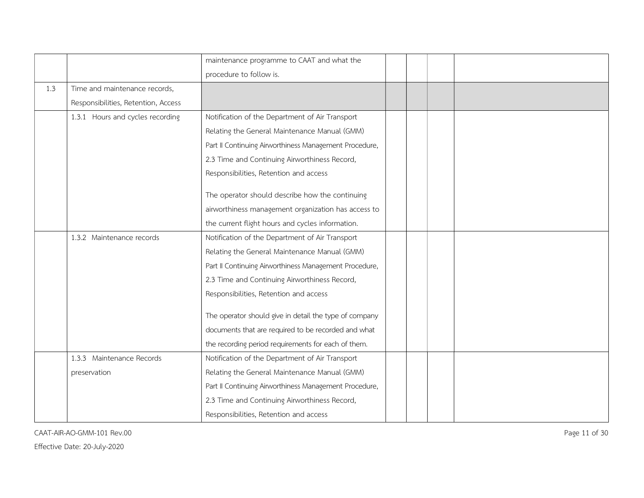|     |                                     | maintenance programme to CAAT and what the             |
|-----|-------------------------------------|--------------------------------------------------------|
|     |                                     | procedure to follow is.                                |
| 1.3 | Time and maintenance records,       |                                                        |
|     | Responsibilities, Retention, Access |                                                        |
|     | 1.3.1 Hours and cycles recording    | Notification of the Department of Air Transport        |
|     |                                     | Relating the General Maintenance Manual (GMM)          |
|     |                                     | Part II Continuing Airworthiness Management Procedure, |
|     |                                     | 2.3 Time and Continuing Airworthiness Record,          |
|     |                                     | Responsibilities, Retention and access                 |
|     |                                     |                                                        |
|     |                                     | The operator should describe how the continuing        |
|     |                                     | airworthiness management organization has access to    |
|     |                                     | the current flight hours and cycles information.       |
|     | 1.3.2 Maintenance records           | Notification of the Department of Air Transport        |
|     |                                     | Relating the General Maintenance Manual (GMM)          |
|     |                                     | Part II Continuing Airworthiness Management Procedure, |
|     |                                     | 2.3 Time and Continuing Airworthiness Record,          |
|     |                                     | Responsibilities, Retention and access                 |
|     |                                     | The operator should give in detail the type of company |
|     |                                     | documents that are required to be recorded and what    |
|     |                                     | the recording period requirements for each of them.    |
|     | 1.3.3 Maintenance Records           | Notification of the Department of Air Transport        |
|     | preservation                        | Relating the General Maintenance Manual (GMM)          |
|     |                                     | Part II Continuing Airworthiness Management Procedure, |
|     |                                     | 2.3 Time and Continuing Airworthiness Record,          |
|     |                                     | Responsibilities, Retention and access                 |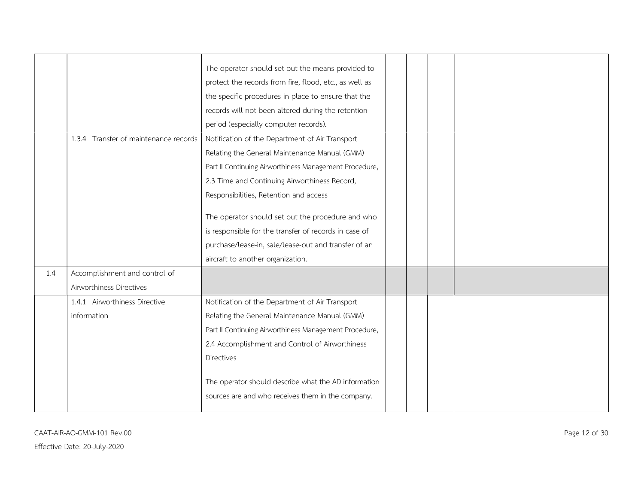|     |                                       | The operator should set out the means provided to                                                         |
|-----|---------------------------------------|-----------------------------------------------------------------------------------------------------------|
|     |                                       | protect the records from fire, flood, etc., as well as                                                    |
|     |                                       | the specific procedures in place to ensure that the                                                       |
|     |                                       | records will not been altered during the retention                                                        |
|     |                                       | period (especially computer records).                                                                     |
|     | 1.3.4 Transfer of maintenance records | Notification of the Department of Air Transport                                                           |
|     |                                       | Relating the General Maintenance Manual (GMM)                                                             |
|     |                                       | Part II Continuing Airworthiness Management Procedure,                                                    |
|     |                                       | 2.3 Time and Continuing Airworthiness Record,                                                             |
|     |                                       | Responsibilities, Retention and access                                                                    |
|     |                                       | The operator should set out the procedure and who                                                         |
|     |                                       | is responsible for the transfer of records in case of                                                     |
|     |                                       | purchase/lease-in, sale/lease-out and transfer of an                                                      |
|     |                                       | aircraft to another organization.                                                                         |
| 1.4 | Accomplishment and control of         |                                                                                                           |
|     | Airworthiness Directives              |                                                                                                           |
|     | 1.4.1 Airworthiness Directive         | Notification of the Department of Air Transport                                                           |
|     | information                           | Relating the General Maintenance Manual (GMM)                                                             |
|     |                                       | Part II Continuing Airworthiness Management Procedure,                                                    |
|     |                                       | 2.4 Accomplishment and Control of Airworthiness                                                           |
|     |                                       | Directives                                                                                                |
|     |                                       | The operator should describe what the AD information<br>sources are and who receives them in the company. |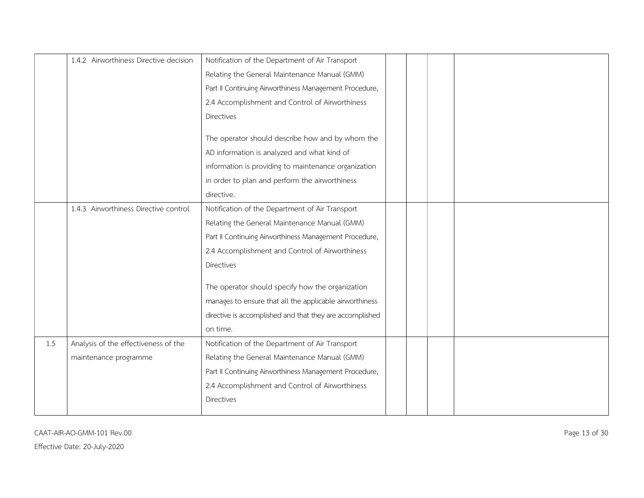|     | 1.4.2 Airworthiness Directive decision | Notification of the Department of Air Transport          |
|-----|----------------------------------------|----------------------------------------------------------|
|     |                                        | Relating the General Maintenance Manual (GMM)            |
|     |                                        | Part II Continuing Airworthiness Management Procedure,   |
|     |                                        | 2.4 Accomplishment and Control of Airworthiness          |
|     |                                        | Directives                                               |
|     |                                        | The operator should describe how and by whom the         |
|     |                                        | AD information is analyzed and what kind of              |
|     |                                        | information is providing to maintenance organization     |
|     |                                        | in order to plan and perform the airworthiness           |
|     |                                        | directive.                                               |
|     | 1.4.3 Airworthiness Directive control  | Notification of the Department of Air Transport          |
|     |                                        | Relating the General Maintenance Manual (GMM)            |
|     |                                        | Part II Continuing Airworthiness Management Procedure,   |
|     |                                        | 2.4 Accomplishment and Control of Airworthiness          |
|     |                                        | Directives                                               |
|     |                                        | The operator should specify how the organization         |
|     |                                        | manages to ensure that all the applicable airworthiness  |
|     |                                        | directive is accomplished and that they are accomplished |
|     |                                        | on time.                                                 |
| 1.5 | Analysis of the effectiveness of the   | Notification of the Department of Air Transport          |
|     | maintenance programme                  | Relating the General Maintenance Manual (GMM)            |
|     |                                        | Part II Continuing Airworthiness Management Procedure,   |
|     |                                        | 2.4 Accomplishment and Control of Airworthiness          |
|     |                                        | Directives                                               |
|     |                                        |                                                          |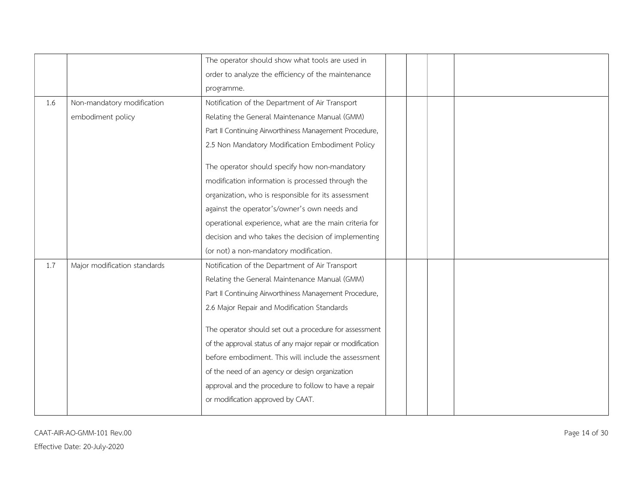|     |                              | The operator should show what tools are used in            |
|-----|------------------------------|------------------------------------------------------------|
|     |                              | order to analyze the efficiency of the maintenance         |
|     |                              | programme.                                                 |
| 1.6 | Non-mandatory modification   | Notification of the Department of Air Transport            |
|     | embodiment policy            | Relating the General Maintenance Manual (GMM)              |
|     |                              | Part II Continuing Airworthiness Management Procedure,     |
|     |                              | 2.5 Non Mandatory Modification Embodiment Policy           |
|     |                              | The operator should specify how non-mandatory              |
|     |                              | modification information is processed through the          |
|     |                              | organization, who is responsible for its assessment        |
|     |                              | against the operator's/owner's own needs and               |
|     |                              | operational experience, what are the main criteria for     |
|     |                              | decision and who takes the decision of implementing        |
|     |                              | (or not) a non-mandatory modification.                     |
| 1.7 | Major modification standards | Notification of the Department of Air Transport            |
|     |                              | Relating the General Maintenance Manual (GMM)              |
|     |                              | Part II Continuing Airworthiness Management Procedure,     |
|     |                              | 2.6 Major Repair and Modification Standards                |
|     |                              | The operator should set out a procedure for assessment     |
|     |                              | of the approval status of any major repair or modification |
|     |                              | before embodiment. This will include the assessment        |
|     |                              | of the need of an agency or design organization            |
|     |                              | approval and the procedure to follow to have a repair      |
|     |                              | or modification approved by CAAT.                          |
|     |                              |                                                            |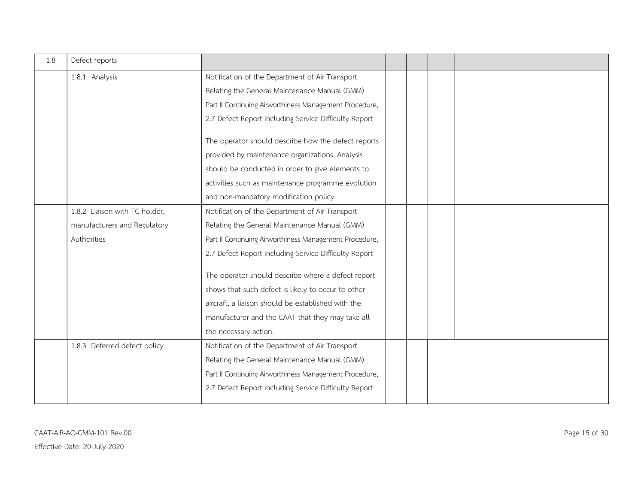| 1.8 | Defect reports                |                                                        |
|-----|-------------------------------|--------------------------------------------------------|
|     | 1.8.1 Analysis                | Notification of the Department of Air Transport        |
|     |                               | Relating the General Maintenance Manual (GMM)          |
|     |                               | Part II Continuing Airworthiness Management Procedure, |
|     |                               | 2.7 Defect Report including Service Difficulty Report  |
|     |                               | The operator should describe how the defect reports    |
|     |                               | provided by maintenance organizations. Analysis        |
|     |                               | should be conducted in order to give elements to       |
|     |                               | activities such as maintenance programme evolution     |
|     |                               | and non-mandatory modification policy.                 |
|     | 1.8.2 Liaison with TC holder, | Notification of the Department of Air Transport        |
|     | manufacturers and Regulatory  | Relating the General Maintenance Manual (GMM)          |
|     | Authorities                   | Part II Continuing Airworthiness Management Procedure, |
|     |                               | 2.7 Defect Report including Service Difficulty Report  |
|     |                               | The operator should describe where a defect report     |
|     |                               | shows that such defect is likely to occur to other     |
|     |                               | aircraft, a liaison should be established with the     |
|     |                               | manufacturer and the CAAT that they may take all       |
|     |                               | the necessary action.                                  |
|     | 1.8.3 Deferred defect policy  | Notification of the Department of Air Transport        |
|     |                               | Relating the General Maintenance Manual (GMM)          |
|     |                               | Part II Continuing Airworthiness Management Procedure, |
|     |                               | 2.7 Defect Report including Service Difficulty Report  |
|     |                               |                                                        |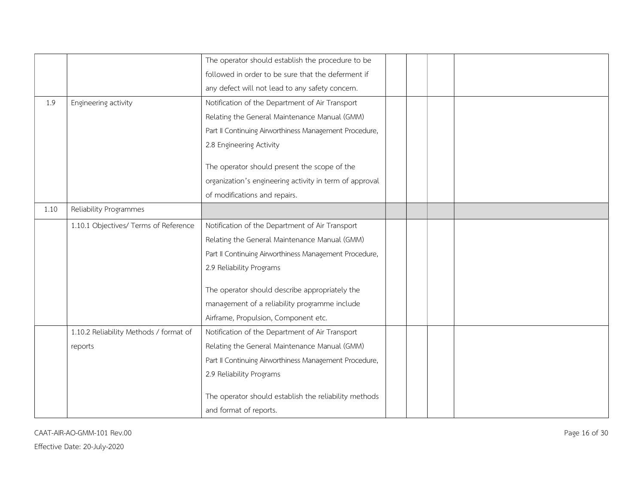|      |                                        | The operator should establish the procedure to be       |  |  |
|------|----------------------------------------|---------------------------------------------------------|--|--|
|      |                                        | followed in order to be sure that the deferment if      |  |  |
|      |                                        | any defect will not lead to any safety concern.         |  |  |
| 1.9  | Engineering activity                   | Notification of the Department of Air Transport         |  |  |
|      |                                        | Relating the General Maintenance Manual (GMM)           |  |  |
|      |                                        | Part II Continuing Airworthiness Management Procedure,  |  |  |
|      |                                        | 2.8 Engineering Activity                                |  |  |
|      |                                        | The operator should present the scope of the            |  |  |
|      |                                        | organization's engineering activity in term of approval |  |  |
|      |                                        | of modifications and repairs.                           |  |  |
| 1.10 | Reliability Programmes                 |                                                         |  |  |
|      | 1.10.1 Objectives/ Terms of Reference  | Notification of the Department of Air Transport         |  |  |
|      |                                        | Relating the General Maintenance Manual (GMM)           |  |  |
|      |                                        | Part II Continuing Airworthiness Management Procedure,  |  |  |
|      |                                        | 2.9 Reliability Programs                                |  |  |
|      |                                        | The operator should describe appropriately the          |  |  |
|      |                                        | management of a reliability programme include           |  |  |
|      |                                        | Airframe, Propulsion, Component etc.                    |  |  |
|      | 1.10.2 Reliability Methods / format of | Notification of the Department of Air Transport         |  |  |
|      | reports                                | Relating the General Maintenance Manual (GMM)           |  |  |
|      |                                        | Part II Continuing Airworthiness Management Procedure,  |  |  |
|      |                                        | 2.9 Reliability Programs                                |  |  |
|      |                                        | The operator should establish the reliability methods   |  |  |
|      |                                        | and format of reports.                                  |  |  |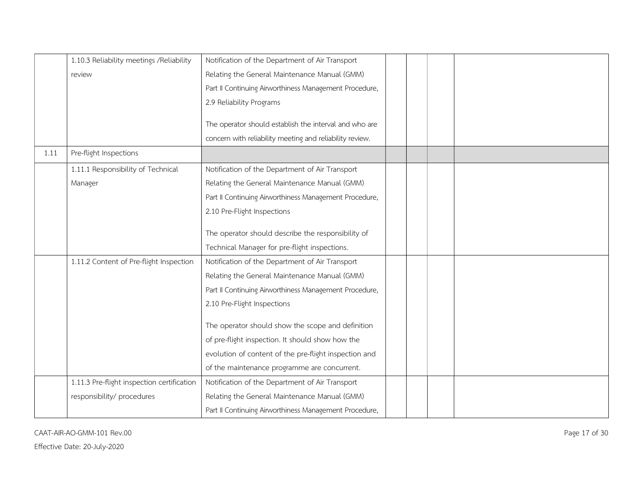|      | 1.10.3 Reliability meetings / Reliability  | Notification of the Department of Air Transport          |
|------|--------------------------------------------|----------------------------------------------------------|
|      | review                                     | Relating the General Maintenance Manual (GMM)            |
|      |                                            | Part II Continuing Airworthiness Management Procedure,   |
|      |                                            | 2.9 Reliability Programs                                 |
|      |                                            |                                                          |
|      |                                            | The operator should establish the interval and who are   |
|      |                                            | concern with reliability meeting and reliability review. |
| 1.11 | Pre-flight Inspections                     |                                                          |
|      | 1.11.1 Responsibility of Technical         | Notification of the Department of Air Transport          |
|      | Manager                                    | Relating the General Maintenance Manual (GMM)            |
|      |                                            | Part II Continuing Airworthiness Management Procedure,   |
|      |                                            | 2.10 Pre-Flight Inspections                              |
|      |                                            |                                                          |
|      |                                            | The operator should describe the responsibility of       |
|      |                                            | Technical Manager for pre-flight inspections.            |
|      | 1.11.2 Content of Pre-flight Inspection    | Notification of the Department of Air Transport          |
|      |                                            | Relating the General Maintenance Manual (GMM)            |
|      |                                            | Part II Continuing Airworthiness Management Procedure,   |
|      |                                            | 2.10 Pre-Flight Inspections                              |
|      |                                            |                                                          |
|      |                                            | The operator should show the scope and definition        |
|      |                                            | of pre-flight inspection. It should show how the         |
|      |                                            | evolution of content of the pre-flight inspection and    |
|      |                                            | of the maintenance programme are concurrent.             |
|      | 1.11.3 Pre-flight inspection certification | Notification of the Department of Air Transport          |
|      | responsibility/ procedures                 | Relating the General Maintenance Manual (GMM)            |
|      |                                            | Part II Continuing Airworthiness Management Procedure,   |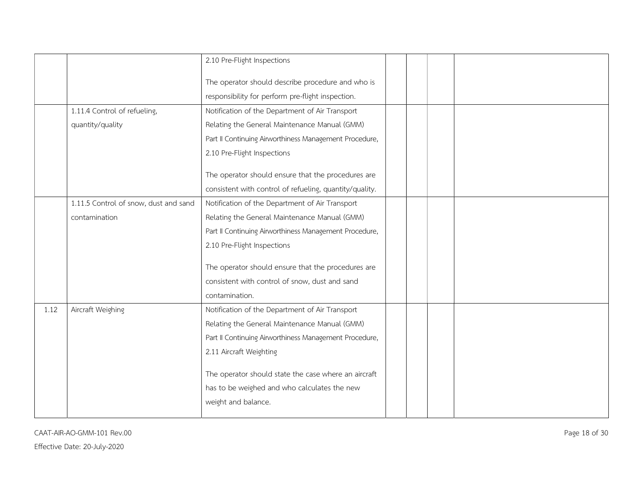|      |                                       | 2.10 Pre-Flight Inspections                             |  |  |
|------|---------------------------------------|---------------------------------------------------------|--|--|
|      |                                       | The operator should describe procedure and who is       |  |  |
|      |                                       | responsibility for perform pre-flight inspection.       |  |  |
|      |                                       |                                                         |  |  |
|      | 1.11.4 Control of refueling,          | Notification of the Department of Air Transport         |  |  |
|      | quantity/quality                      | Relating the General Maintenance Manual (GMM)           |  |  |
|      |                                       | Part II Continuing Airworthiness Management Procedure,  |  |  |
|      |                                       | 2.10 Pre-Flight Inspections                             |  |  |
|      |                                       | The operator should ensure that the procedures are      |  |  |
|      |                                       | consistent with control of refueling, quantity/quality. |  |  |
|      | 1.11.5 Control of snow, dust and sand | Notification of the Department of Air Transport         |  |  |
|      | contamination                         | Relating the General Maintenance Manual (GMM)           |  |  |
|      |                                       |                                                         |  |  |
|      |                                       | Part II Continuing Airworthiness Management Procedure,  |  |  |
|      |                                       | 2.10 Pre-Flight Inspections                             |  |  |
|      |                                       | The operator should ensure that the procedures are      |  |  |
|      |                                       | consistent with control of snow, dust and sand          |  |  |
|      |                                       | contamination.                                          |  |  |
| 1.12 | Aircraft Weighing                     | Notification of the Department of Air Transport         |  |  |
|      |                                       | Relating the General Maintenance Manual (GMM)           |  |  |
|      |                                       | Part II Continuing Airworthiness Management Procedure,  |  |  |
|      |                                       | 2.11 Aircraft Weighting                                 |  |  |
|      |                                       |                                                         |  |  |
|      |                                       | The operator should state the case where an aircraft    |  |  |
|      |                                       | has to be weighed and who calculates the new            |  |  |
|      |                                       | weight and balance.                                     |  |  |
|      |                                       |                                                         |  |  |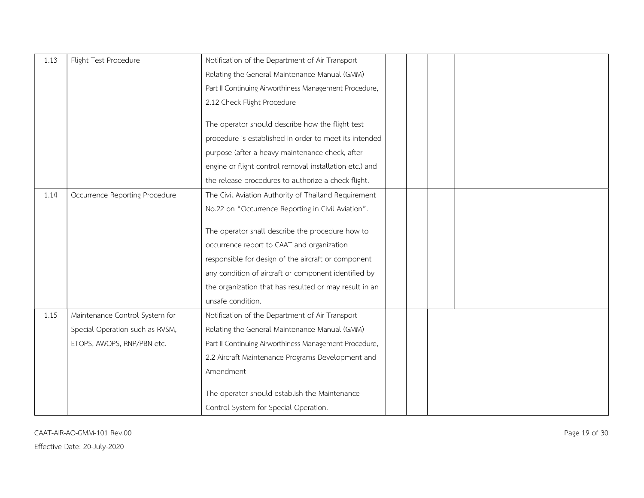| 1.13 | Flight Test Procedure           | Notification of the Department of Air Transport         |
|------|---------------------------------|---------------------------------------------------------|
|      |                                 | Relating the General Maintenance Manual (GMM)           |
|      |                                 | Part II Continuing Airworthiness Management Procedure,  |
|      |                                 | 2.12 Check Flight Procedure                             |
|      |                                 |                                                         |
|      |                                 | The operator should describe how the flight test        |
|      |                                 | procedure is established in order to meet its intended  |
|      |                                 | purpose (after a heavy maintenance check, after         |
|      |                                 | engine or flight control removal installation etc.) and |
|      |                                 | the release procedures to authorize a check flight.     |
| 1.14 | Occurrence Reporting Procedure  | The Civil Aviation Authority of Thailand Requirement    |
|      |                                 | No.22 on "Occurrence Reporting in Civil Aviation".      |
|      |                                 |                                                         |
|      |                                 | The operator shall describe the procedure how to        |
|      |                                 | occurrence report to CAAT and organization              |
|      |                                 | responsible for design of the aircraft or component     |
|      |                                 | any condition of aircraft or component identified by    |
|      |                                 | the organization that has resulted or may result in an  |
|      |                                 | unsafe condition.                                       |
| 1.15 | Maintenance Control System for  | Notification of the Department of Air Transport         |
|      | Special Operation such as RVSM, | Relating the General Maintenance Manual (GMM)           |
|      | ETOPS, AWOPS, RNP/PBN etc.      | Part II Continuing Airworthiness Management Procedure,  |
|      |                                 | 2.2 Aircraft Maintenance Programs Development and       |
|      |                                 | Amendment                                               |
|      |                                 |                                                         |
|      |                                 | The operator should establish the Maintenance           |
|      |                                 | Control System for Special Operation.                   |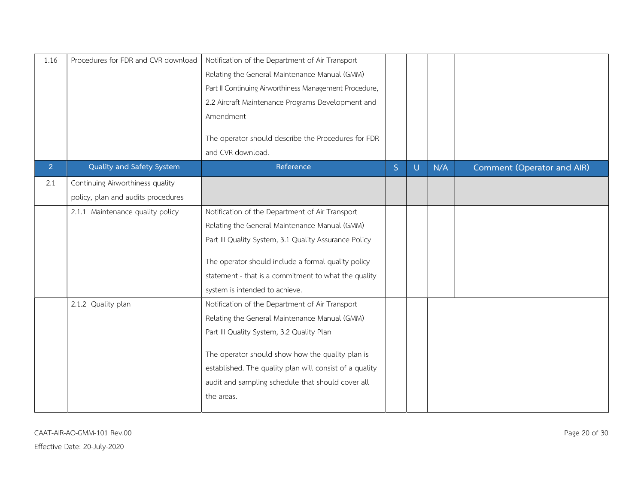| 1.16           | Procedures for FDR and CVR download | Notification of the Department of Air Transport<br>Relating the General Maintenance Manual (GMM)<br>Part II Continuing Airworthiness Management Procedure,<br>2.2 Aircraft Maintenance Programs Development and<br>Amendment |   |        |     |                            |
|----------------|-------------------------------------|------------------------------------------------------------------------------------------------------------------------------------------------------------------------------------------------------------------------------|---|--------|-----|----------------------------|
| 2 <sup>1</sup> | Quality and Safety System           | The operator should describe the Procedures for FDR<br>and CVR download.<br>Reference                                                                                                                                        | S | $\cup$ | N/A | Comment (Operator and AIR) |
| 2.1            | Continuing Airworthiness quality    |                                                                                                                                                                                                                              |   |        |     |                            |
|                | policy, plan and audits procedures  |                                                                                                                                                                                                                              |   |        |     |                            |
|                | 2.1.1 Maintenance quality policy    | Notification of the Department of Air Transport                                                                                                                                                                              |   |        |     |                            |
|                |                                     | Relating the General Maintenance Manual (GMM)                                                                                                                                                                                |   |        |     |                            |
|                |                                     | Part III Quality System, 3.1 Quality Assurance Policy                                                                                                                                                                        |   |        |     |                            |
|                |                                     | The operator should include a formal quality policy                                                                                                                                                                          |   |        |     |                            |
|                |                                     | statement - that is a commitment to what the quality                                                                                                                                                                         |   |        |     |                            |
|                |                                     | system is intended to achieve.                                                                                                                                                                                               |   |        |     |                            |
|                | 2.1.2 Quality plan                  | Notification of the Department of Air Transport                                                                                                                                                                              |   |        |     |                            |
|                |                                     | Relating the General Maintenance Manual (GMM)                                                                                                                                                                                |   |        |     |                            |
|                |                                     | Part III Quality System, 3.2 Quality Plan                                                                                                                                                                                    |   |        |     |                            |
|                |                                     | The operator should show how the quality plan is<br>established. The quality plan will consist of a quality<br>audit and sampling schedule that should cover all<br>the areas.                                               |   |        |     |                            |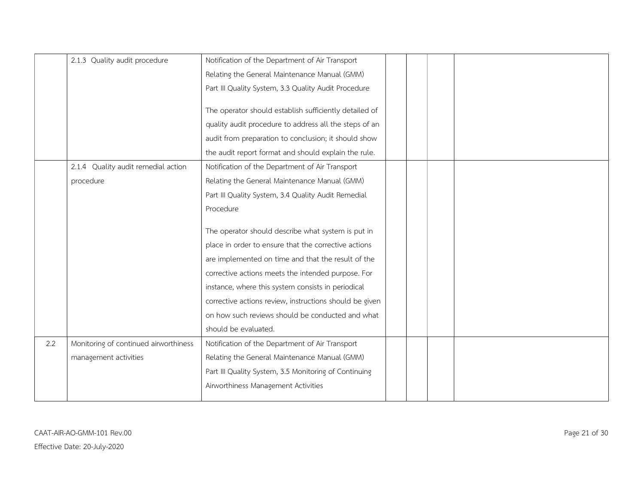|     | 2.1.3 Quality audit procedure         | Notification of the Department of Air Transport         |
|-----|---------------------------------------|---------------------------------------------------------|
|     |                                       | Relating the General Maintenance Manual (GMM)           |
|     |                                       | Part III Quality System, 3.3 Quality Audit Procedure    |
|     |                                       |                                                         |
|     |                                       | The operator should establish sufficiently detailed of  |
|     |                                       | quality audit procedure to address all the steps of an  |
|     |                                       | audit from preparation to conclusion; it should show    |
|     |                                       | the audit report format and should explain the rule.    |
|     | 2.1.4 Quality audit remedial action   | Notification of the Department of Air Transport         |
|     | procedure                             | Relating the General Maintenance Manual (GMM)           |
|     |                                       | Part III Quality System, 3.4 Quality Audit Remedial     |
|     |                                       | Procedure                                               |
|     |                                       |                                                         |
|     |                                       | The operator should describe what system is put in      |
|     |                                       | place in order to ensure that the corrective actions    |
|     |                                       | are implemented on time and that the result of the      |
|     |                                       | corrective actions meets the intended purpose. For      |
|     |                                       | instance, where this system consists in periodical      |
|     |                                       | corrective actions review, instructions should be given |
|     |                                       | on how such reviews should be conducted and what        |
|     |                                       | should be evaluated.                                    |
| 2.2 | Monitoring of continued airworthiness | Notification of the Department of Air Transport         |
|     | management activities                 | Relating the General Maintenance Manual (GMM)           |
|     |                                       | Part III Quality System, 3.5 Monitoring of Continuing   |
|     |                                       | Airworthiness Management Activities                     |
|     |                                       |                                                         |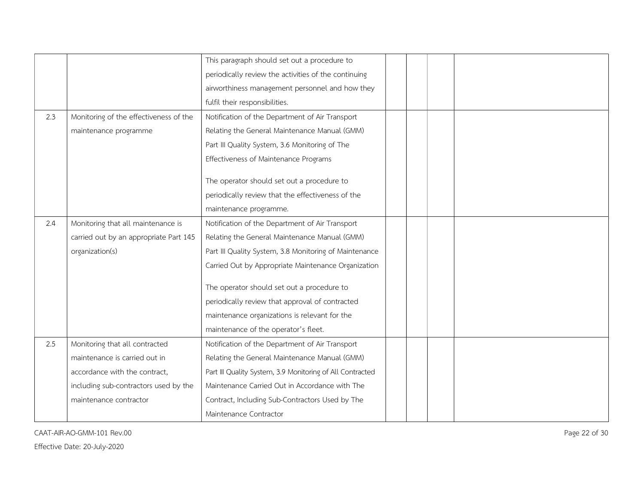|     |                                        | This paragraph should set out a procedure to              |  |  |
|-----|----------------------------------------|-----------------------------------------------------------|--|--|
|     |                                        | periodically review the activities of the continuing      |  |  |
|     |                                        | airworthiness management personnel and how they           |  |  |
|     |                                        | fulfil their responsibilities.                            |  |  |
| 2.3 | Monitoring of the effectiveness of the | Notification of the Department of Air Transport           |  |  |
|     | maintenance programme                  | Relating the General Maintenance Manual (GMM)             |  |  |
|     |                                        | Part III Quality System, 3.6 Monitoring of The            |  |  |
|     |                                        | Effectiveness of Maintenance Programs                     |  |  |
|     |                                        |                                                           |  |  |
|     |                                        | The operator should set out a procedure to                |  |  |
|     |                                        | periodically review that the effectiveness of the         |  |  |
|     |                                        | maintenance programme.                                    |  |  |
| 2.4 | Monitoring that all maintenance is     | Notification of the Department of Air Transport           |  |  |
|     | carried out by an appropriate Part 145 | Relating the General Maintenance Manual (GMM)             |  |  |
|     | organization(s)                        | Part III Quality System, 3.8 Monitoring of Maintenance    |  |  |
|     |                                        | Carried Out by Appropriate Maintenance Organization       |  |  |
|     |                                        | The operator should set out a procedure to                |  |  |
|     |                                        | periodically review that approval of contracted           |  |  |
|     |                                        | maintenance organizations is relevant for the             |  |  |
|     |                                        | maintenance of the operator's fleet.                      |  |  |
| 2.5 | Monitoring that all contracted         | Notification of the Department of Air Transport           |  |  |
|     | maintenance is carried out in          | Relating the General Maintenance Manual (GMM)             |  |  |
|     | accordance with the contract,          | Part III Quality System, 3.9 Monitoring of All Contracted |  |  |
|     | including sub-contractors used by the  | Maintenance Carried Out in Accordance with The            |  |  |
|     | maintenance contractor                 | Contract, Including Sub-Contractors Used by The           |  |  |
|     |                                        | Maintenance Contractor                                    |  |  |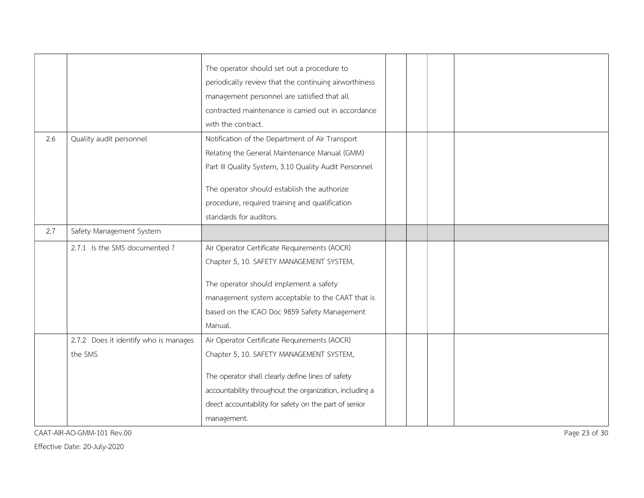|     |                                       | The operator should set out a procedure to              |
|-----|---------------------------------------|---------------------------------------------------------|
|     |                                       | periodically review that the continuing airworthiness   |
|     |                                       | management personnel are satisfied that all             |
|     |                                       | contracted maintenance is carried out in accordance     |
|     |                                       | with the contract.                                      |
| 2.6 | Quality audit personnel               | Notification of the Department of Air Transport         |
|     |                                       | Relating the General Maintenance Manual (GMM)           |
|     |                                       | Part III Quality System, 3.10 Quality Audit Personnel   |
|     |                                       |                                                         |
|     |                                       | The operator should establish the authorize             |
|     |                                       | procedure, required training and qualification          |
|     |                                       | standards for auditors.                                 |
| 2.7 | Safety Management System              |                                                         |
|     | 2.7.1 Is the SMS documented ?         | Air Operator Certificate Requirements (AOCR)            |
|     |                                       | Chapter 5, 10. SAFETY MANAGEMENT SYSTEM,                |
|     |                                       | The operator should implement a safety                  |
|     |                                       | management system acceptable to the CAAT that is        |
|     |                                       | based on the ICAO Doc 9859 Safety Management            |
|     |                                       | Manual.                                                 |
|     | 2.7.2 Does it identify who is manages | Air Operator Certificate Requirements (AOCR)            |
|     | the SMS                               | Chapter 5, 10. SAFETY MANAGEMENT SYSTEM,                |
|     |                                       |                                                         |
|     |                                       | The operator shall clearly define lines of safety       |
|     |                                       | accountability throughout the organization, including a |
|     |                                       | direct accountability for safety on the part of senior  |
|     |                                       | management.                                             |

CAAT-AIR-AO-GMM-101 Rev.00 Page 23 of 30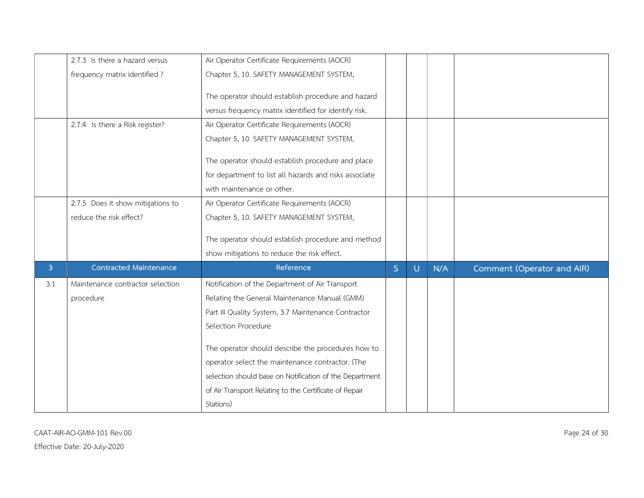|                | 2.7.3 Is there a hazard versus    | Air Operator Certificate Requirements (AOCR)            |                |   |     |                            |
|----------------|-----------------------------------|---------------------------------------------------------|----------------|---|-----|----------------------------|
|                | frequency matrix identified?      | Chapter 5, 10. SAFETY MANAGEMENT SYSTEM,                |                |   |     |                            |
|                |                                   | The operator should establish procedure and hazard      |                |   |     |                            |
|                |                                   |                                                         |                |   |     |                            |
|                |                                   | versus frequency matrix identified for identify risk.   |                |   |     |                            |
|                | 2.7.4 Is there a Risk register?   | Air Operator Certificate Requirements (AOCR)            |                |   |     |                            |
|                |                                   | Chapter 5, 10. SAFETY MANAGEMENT SYSTEM,                |                |   |     |                            |
|                |                                   | The operator should establish procedure and place       |                |   |     |                            |
|                |                                   | for department to list all hazards and risks associate  |                |   |     |                            |
|                |                                   | with maintenance or other.                              |                |   |     |                            |
|                | 2.7.5 Does it show mitigations to | Air Operator Certificate Requirements (AOCR)            |                |   |     |                            |
|                |                                   |                                                         |                |   |     |                            |
|                | reduce the risk effect?           | Chapter 5, 10. SAFETY MANAGEMENT SYSTEM,                |                |   |     |                            |
|                |                                   | The operator should establish procedure and method      |                |   |     |                            |
|                |                                   | show mitigations to reduce the risk effect.             |                |   |     |                            |
| $\overline{3}$ | <b>Contracted Maintenance</b>     | Reference                                               | $\overline{S}$ | U | N/A | Comment (Operator and AIR) |
| 3.1            | Maintenance contractor selection  | Notification of the Department of Air Transport         |                |   |     |                            |
|                | procedure                         | Relating the General Maintenance Manual (GMM)           |                |   |     |                            |
|                |                                   |                                                         |                |   |     |                            |
|                |                                   | Part III Quality System, 3.7 Maintenance Contractor     |                |   |     |                            |
|                |                                   | Selection Procedure                                     |                |   |     |                            |
|                |                                   | The operator should describe the procedures how to      |                |   |     |                            |
|                |                                   | operator select the maintenance contractor. (The        |                |   |     |                            |
|                |                                   | selection should base on Notification of the Department |                |   |     |                            |
|                |                                   | of Air Transport Relating to the Certificate of Repair  |                |   |     |                            |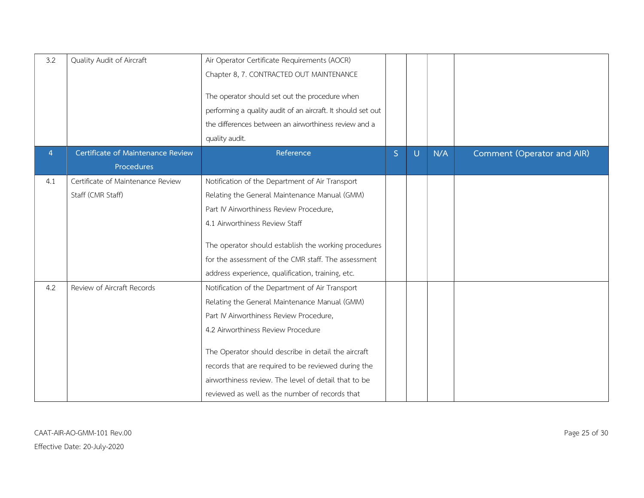| 3.2 | Quality Audit of Aircraft         | Air Operator Certificate Requirements (AOCR)<br>Chapter 8, 7. CONTRACTED OUT MAINTENANCE<br>The operator should set out the procedure when<br>performing a quality audit of an aircraft. It should set out<br>the differences between an airworthiness review and a<br>quality audit. |   |        |     |                            |
|-----|-----------------------------------|---------------------------------------------------------------------------------------------------------------------------------------------------------------------------------------------------------------------------------------------------------------------------------------|---|--------|-----|----------------------------|
| 4   | Certificate of Maintenance Review | Reference                                                                                                                                                                                                                                                                             | S | $\cup$ | N/A | Comment (Operator and AIR) |
|     | Procedures                        |                                                                                                                                                                                                                                                                                       |   |        |     |                            |
| 4.1 | Certificate of Maintenance Review | Notification of the Department of Air Transport                                                                                                                                                                                                                                       |   |        |     |                            |
|     | Staff (CMR Staff)                 | Relating the General Maintenance Manual (GMM)                                                                                                                                                                                                                                         |   |        |     |                            |
|     |                                   | Part IV Airworthiness Review Procedure,                                                                                                                                                                                                                                               |   |        |     |                            |
|     |                                   | 4.1 Airworthiness Review Staff                                                                                                                                                                                                                                                        |   |        |     |                            |
|     |                                   | The operator should establish the working procedures                                                                                                                                                                                                                                  |   |        |     |                            |
|     |                                   | for the assessment of the CMR staff. The assessment                                                                                                                                                                                                                                   |   |        |     |                            |
|     |                                   | address experience, qualification, training, etc.                                                                                                                                                                                                                                     |   |        |     |                            |
| 4.2 | Review of Aircraft Records        | Notification of the Department of Air Transport                                                                                                                                                                                                                                       |   |        |     |                            |
|     |                                   | Relating the General Maintenance Manual (GMM)                                                                                                                                                                                                                                         |   |        |     |                            |
|     |                                   | Part IV Airworthiness Review Procedure,                                                                                                                                                                                                                                               |   |        |     |                            |
|     |                                   | 4.2 Airworthiness Review Procedure                                                                                                                                                                                                                                                    |   |        |     |                            |
|     |                                   | The Operator should describe in detail the aircraft                                                                                                                                                                                                                                   |   |        |     |                            |
|     |                                   | records that are required to be reviewed during the                                                                                                                                                                                                                                   |   |        |     |                            |
|     |                                   | airworthiness review. The level of detail that to be                                                                                                                                                                                                                                  |   |        |     |                            |
|     |                                   | reviewed as well as the number of records that                                                                                                                                                                                                                                        |   |        |     |                            |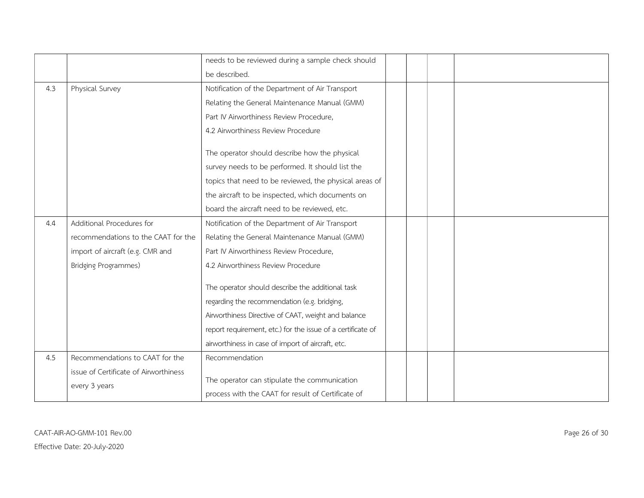|     |                                                        | needs to be reviewed during a sample check should                                                  |
|-----|--------------------------------------------------------|----------------------------------------------------------------------------------------------------|
|     |                                                        | be described.                                                                                      |
| 4.3 | Physical Survey                                        | Notification of the Department of Air Transport                                                    |
|     |                                                        | Relating the General Maintenance Manual (GMM)                                                      |
|     |                                                        | Part IV Airworthiness Review Procedure,                                                            |
|     |                                                        | 4.2 Airworthiness Review Procedure                                                                 |
|     |                                                        | The operator should describe how the physical                                                      |
|     |                                                        | survey needs to be performed. It should list the                                                   |
|     |                                                        | topics that need to be reviewed, the physical areas of                                             |
|     |                                                        | the aircraft to be inspected, which documents on                                                   |
|     |                                                        | board the aircraft need to be reviewed, etc.                                                       |
| 4.4 | Additional Procedures for                              | Notification of the Department of Air Transport                                                    |
|     | recommendations to the CAAT for the                    | Relating the General Maintenance Manual (GMM)                                                      |
|     | import of aircraft (e.g. CMR and                       | Part IV Airworthiness Review Procedure,                                                            |
|     | <b>Bridging Programmes)</b>                            | 4.2 Airworthiness Review Procedure                                                                 |
|     |                                                        | The operator should describe the additional task                                                   |
|     |                                                        | regarding the recommendation (e.g. bridging,                                                       |
|     |                                                        | Airworthiness Directive of CAAT, weight and balance                                                |
|     |                                                        | report requirement, etc.) for the issue of a certificate of                                        |
|     |                                                        | airworthiness in case of import of aircraft, etc.                                                  |
| 4.5 | Recommendations to CAAT for the                        | Recommendation                                                                                     |
|     | issue of Certificate of Airworthiness<br>every 3 years | The operator can stipulate the communication<br>process with the CAAT for result of Certificate of |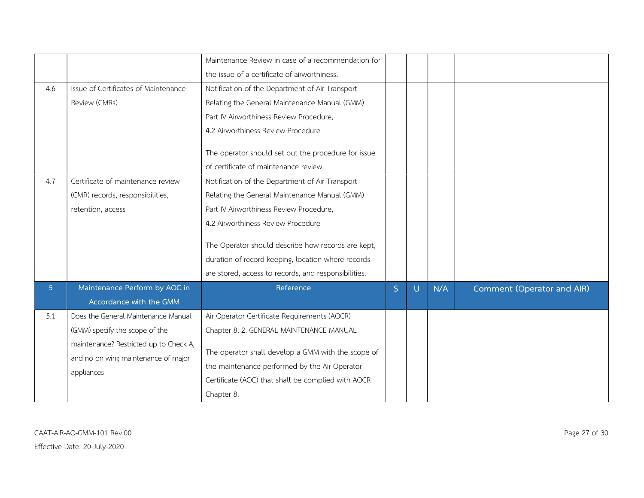|                |                                                                                                                                                                      | Maintenance Review in case of a recommendation for<br>the issue of a certificate of airworthiness.                                                                                                                                                                                                                                                    |   |   |     |                            |
|----------------|----------------------------------------------------------------------------------------------------------------------------------------------------------------------|-------------------------------------------------------------------------------------------------------------------------------------------------------------------------------------------------------------------------------------------------------------------------------------------------------------------------------------------------------|---|---|-----|----------------------------|
| 4.6            | Issue of Certificates of Maintenance<br>Review (CMRs)                                                                                                                | Notification of the Department of Air Transport<br>Relating the General Maintenance Manual (GMM)<br>Part IV Airworthiness Review Procedure,<br>4.2 Airworthiness Review Procedure<br>The operator should set out the procedure for issue<br>of certificate of maintenance review.                                                                     |   |   |     |                            |
| 4.7            | Certificate of maintenance review<br>(CMR) records, responsibilities,<br>retention, access                                                                           | Notification of the Department of Air Transport<br>Relating the General Maintenance Manual (GMM)<br>Part IV Airworthiness Review Procedure,<br>4.2 Airworthiness Review Procedure<br>The Operator should describe how records are kept,<br>duration of record keeping, location where records<br>are stored, access to records, and responsibilities. |   |   |     |                            |
| 5 <sup>1</sup> | Maintenance Perform by AOC in<br>Accordance with the GMM                                                                                                             | Reference                                                                                                                                                                                                                                                                                                                                             | S | U | N/A | Comment (Operator and AIR) |
| 5.1            | Does the General Maintenance Manual<br>(GMM) specify the scope of the<br>maintenance? Restricted up to Check A,<br>and no on wing maintenance of major<br>appliances | Air Operator Certificate Requirements (AOCR)<br>Chapter 8, 2. GENERAL MAINTENANCE MANUAL<br>The operator shall develop a GMM with the scope of<br>the maintenance performed by the Air Operator<br>Certificate (AOC) that shall be complied with AOCR<br>Chapter 8.                                                                                   |   |   |     |                            |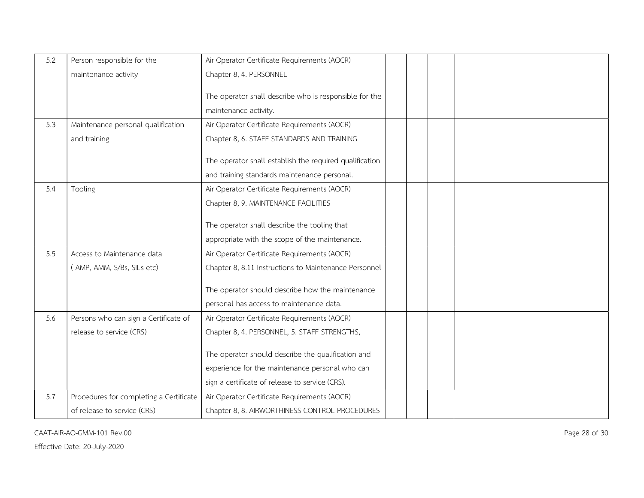| 5.2 | Person responsible for the              | Air Operator Certificate Requirements (AOCR)            |
|-----|-----------------------------------------|---------------------------------------------------------|
|     | maintenance activity                    | Chapter 8, 4. PERSONNEL                                 |
|     |                                         |                                                         |
|     |                                         | The operator shall describe who is responsible for the  |
|     |                                         | maintenance activity.                                   |
| 5.3 | Maintenance personal qualification      | Air Operator Certificate Requirements (AOCR)            |
|     | and training                            | Chapter 8, 6. STAFF STANDARDS AND TRAINING              |
|     |                                         |                                                         |
|     |                                         | The operator shall establish the required qualification |
|     |                                         | and training standards maintenance personal.            |
| 5.4 | Tooling                                 | Air Operator Certificate Requirements (AOCR)            |
|     |                                         | Chapter 8, 9. MAINTENANCE FACILITIES                    |
|     |                                         | The operator shall describe the tooling that            |
|     |                                         |                                                         |
|     |                                         | appropriate with the scope of the maintenance.          |
| 5.5 | Access to Maintenance data              | Air Operator Certificate Requirements (AOCR)            |
|     | (AMP, AMM, S/Bs, SILs etc)              | Chapter 8, 8.11 Instructions to Maintenance Personnel   |
|     |                                         | The operator should describe how the maintenance        |
|     |                                         | personal has access to maintenance data.                |
| 5.6 | Persons who can sign a Certificate of   | Air Operator Certificate Requirements (AOCR)            |
|     | release to service (CRS)                | Chapter 8, 4. PERSONNEL, 5. STAFF STRENGTHS,            |
|     |                                         |                                                         |
|     |                                         | The operator should describe the qualification and      |
|     |                                         | experience for the maintenance personal who can         |
|     |                                         | sign a certificate of release to service (CRS).         |
| 5.7 | Procedures for completing a Certificate | Air Operator Certificate Requirements (AOCR)            |
|     | of release to service (CRS)             | Chapter 8, 8. AIRWORTHINESS CONTROL PROCEDURES          |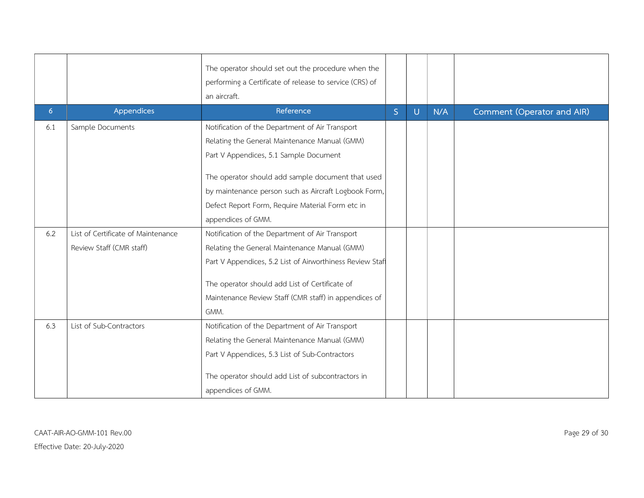|                |                                    | The operator should set out the procedure when the<br>performing a Certificate of release to service (CRS) of<br>an aircraft. |   |   |     |                            |
|----------------|------------------------------------|-------------------------------------------------------------------------------------------------------------------------------|---|---|-----|----------------------------|
| 6 <sup>1</sup> | Appendices                         | Reference                                                                                                                     | S | U | N/A | Comment (Operator and AIR) |
| 6.1            | Sample Documents                   | Notification of the Department of Air Transport                                                                               |   |   |     |                            |
|                |                                    | Relating the General Maintenance Manual (GMM)                                                                                 |   |   |     |                            |
|                |                                    | Part V Appendices, 5.1 Sample Document                                                                                        |   |   |     |                            |
|                |                                    | The operator should add sample document that used                                                                             |   |   |     |                            |
|                |                                    | by maintenance person such as Aircraft Logbook Form,                                                                          |   |   |     |                            |
|                |                                    | Defect Report Form, Require Material Form etc in                                                                              |   |   |     |                            |
|                |                                    | appendices of GMM.                                                                                                            |   |   |     |                            |
| 6.2            | List of Certificate of Maintenance | Notification of the Department of Air Transport                                                                               |   |   |     |                            |
|                | Review Staff (CMR staff)           | Relating the General Maintenance Manual (GMM)                                                                                 |   |   |     |                            |
|                |                                    | Part V Appendices, 5.2 List of Airworthiness Review Staff                                                                     |   |   |     |                            |
|                |                                    | The operator should add List of Certificate of                                                                                |   |   |     |                            |
|                |                                    | Maintenance Review Staff (CMR staff) in appendices of                                                                         |   |   |     |                            |
|                |                                    | GMM.                                                                                                                          |   |   |     |                            |
| 6.3            | List of Sub-Contractors            | Notification of the Department of Air Transport                                                                               |   |   |     |                            |
|                |                                    | Relating the General Maintenance Manual (GMM)                                                                                 |   |   |     |                            |
|                |                                    | Part V Appendices, 5.3 List of Sub-Contractors                                                                                |   |   |     |                            |
|                |                                    | The operator should add List of subcontractors in<br>appendices of GMM.                                                       |   |   |     |                            |